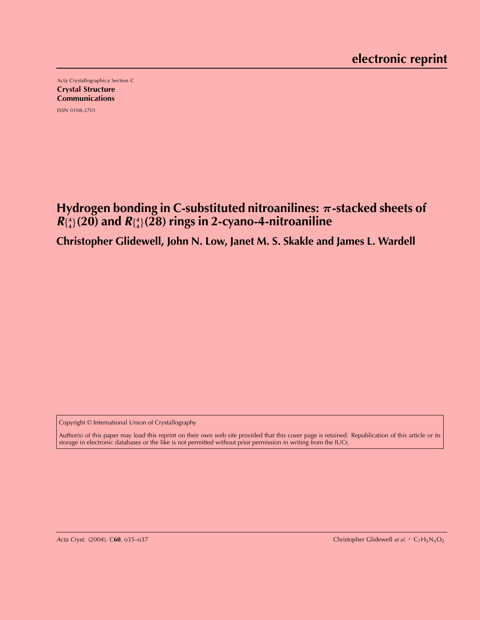Acta Crystallographica Section C Crystal Structure **Communications** ISSN 0108-2701

Hydrogen bonding in C-substituted nitroanilines:  $\pi$ -stacked sheets of **R**f **4 <sup>4</sup>**g**(20) and <sup>R</sup>**f **4 <sup>4</sup>**g**(28) rings in 2-cyano-4-nitroaniline**

**Christopher Glidewell, John N. Low, Janet M. S. Skakle and James L. Wardell**

Copyright © International Union of Crystallography

Author(s) of this paper may load this reprint on their own web site provided that this cover page is retained. Republication of this article or its storage in electronic databases or the like is not permitted without prior permission in writing from the IUCr.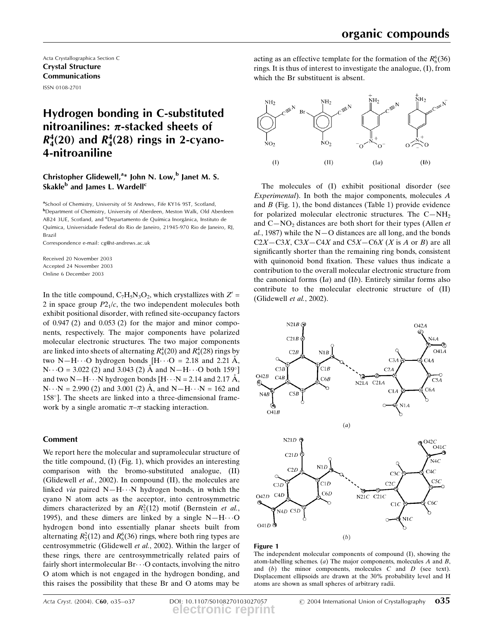Acta Crystallographica Section C Crystal Structure Communications ISSN 0108-2701

# Hydrogen bonding in C-substituted nitroanilines:  $\pi$ -stacked sheets of  $R_4^4(20)$  and  $R_4^4(28)$  rings in 2-cyano-4-nitroaniline

# Christopher Glidewell,<sup>a\*</sup> John N. Low,<sup>b</sup> Janet M. S. Skakle<sup>b</sup> and James L. Wardell<sup>c</sup>

<sup>a</sup>School of Chemistry, University of St Andrews, Fife KY16 9ST, Scotland, b Department of Chemistry, University of Aberdeen, Meston Walk, Old Aberdeen AB24 3UE, Scotland, and <sup>c</sup>Departamento de Química Inorgânica, Instituto de Química, Universidade Federal do Rio de Janeiro, 21945-970 Rio de Janeiro, RJ, Brazil

Correspondence e-mail: cg@st-andrews.ac.uk

Received 20 November 2003 Accepted 24 November 2003 Online 6 December 2003

In the title compound,  $C_7H_5N_3O_2$ , which crystallizes with  $Z' =$ 2 in space group  $P2<sub>1</sub>/c$ , the two independent molecules both exhibit positional disorder, with refined site-occupancy factors of  $0.947(2)$  and  $0.053(2)$  for the major and minor components, respectively. The major components have polarized molecular electronic structures. The two major components are linked into sheets of alternating  $R_4^4(20)$  and  $R_4^4(28)$  rings by two N–H $\cdots$ O hydrogen bonds [H $\cdots$ O = 2.18 and 2.21 Å,  $N \cdots Q = 3.022$  (2) and 3.043 (2)  $\AA$  and  $N-H \cdots Q$  both 159° and two N $-H \cdot \cdot \cdot N$  hydrogen bonds  $[H \cdot \cdot \cdot N = 2.14$  and 2.17 Å,  $N \cdot N = 2.990$  (2) and 3.001 (2)  $\AA$ , and  $N-H \cdot N = 162$  and  $158^\circ$ ]. The sheets are linked into a three-dimensional framework by a single aromatic  $\pi$ - $\pi$  stacking interaction.

# Comment

We report here the molecular and supramolecular structure of the title compound, (I) (Fig. 1), which provides an interesting comparison with the bromo-substituted analogue, (II) (Glidewell et al., 2002). In compound (II), the molecules are linked *via* paired  $N-H\cdots N$  hydrogen bonds, in which the cyano N atom acts as the acceptor, into centrosymmetric dimers characterized by an  $R_2^2(12)$  motif (Bernstein *et al.*, 1995), and these dimers are linked by a single  $N-H\cdots O$ hydrogen bond into essentially planar sheets built from alternating  $R_2^2(12)$  and  $R_6^6(36)$  rings, where both ring types are centrosymmetric (Glidewell et al., 2002). Within the larger of these rings, there are centrosymmetrically related pairs of fairly short intermolecular  $Br\cdots O$  contacts, involving the nitro O atom which is not engaged in the hydrogen bonding, and this raises the possibility that these Br and O atoms may be

acting as an effective template for the formation of the  $R_6^6(36)$ rings. It is thus of interest to investigate the analogue, (I), from which the Br substituent is absent.



The molecules of (I) exhibit positional disorder (see Experimental). In both the major components, molecules A and  $B$  (Fig. 1), the bond distances (Table 1) provide evidence for polarized molecular electronic structures. The  $C-NH_2$ and  $C-NO<sub>2</sub>$  distances are both short for their types (Allen *et*  $al.$ , 1987) while the N $-$ O distances are all long, and the bonds  $C2X-C3X$ ,  $C3X-C4X$  and  $C5X-C6X$  (X is A or B) are all significantly shorter than the remaining ring bonds, consistent with quinonoid bond fixation. These values thus indicate a contribution to the overall molecular electronic structure from the canonical forms  $(Ia)$  and  $(Ib)$ . Entirely similar forms also contribute to the molecular electronic structure of (II) (Glidewell et al., 2002).



## Figure 1

The independent molecular components of compound (I), showing the atom-labelling schemes. (a) The major components, molecules  $A$  and  $B$ , and (b) the minor components, molecules C and D (see text). Displacement ellipsoids are drawn at the 30% probability level and H atoms are shown as small spheres of arbitrary radii.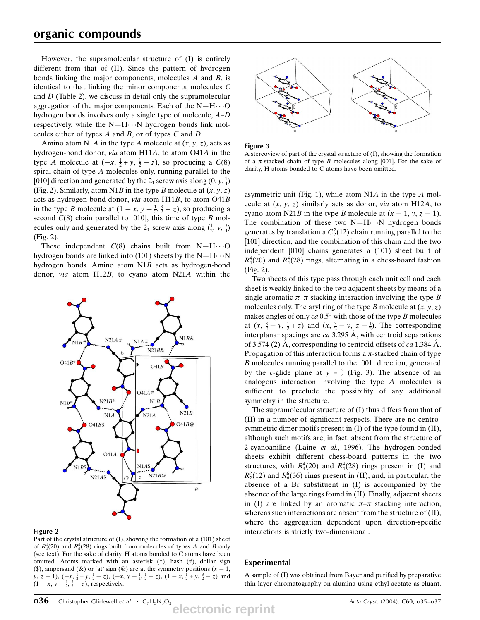However, the supramolecular structure of (I) is entirely different from that of (II). Since the pattern of hydrogen bonds linking the major components, molecules  $A$  and  $B$ , is identical to that linking the minor components, molecules C and D (Table 2), we discuss in detail only the supramolecular aggregation of the major components. Each of the  $N-H\cdots O$ hydrogen bonds involves only a single type of molecule,  $A-D$ respectively, while the  $N-H\cdots N$  hydrogen bonds link molecules either of types A and B, or of types C and D.

Amino atom N1A in the type A molecule at  $(x, y, z)$ , acts as hydrogen-bond donor, via atom H11A, to atom O41A in the type A molecule at  $(-x, \frac{1}{2} + y, \frac{1}{2} - z)$ , so producing a  $C(8)$ spiral chain of type  $A$  molecules only, running parallel to the [010] direction and generated by the  $2_1$  screw axis along  $(0, y, \frac{1}{4})$ (Fig. 2). Similarly, atom N1B in the type B molecule at  $(x, y, z)$ acts as hydrogen-bond donor, via atom H11B, to atom O41B in the type *B* molecule at  $(1 - x, y - \frac{1}{2}, \frac{3}{2} - z)$ , so producing a second  $C(8)$  chain parallel to [010], this time of type  $B$  molecules only and generated by the 2<sub>1</sub> screw axis along  $(\frac{1}{2}, y, \frac{3}{4})$ (Fig. 2).

These independent  $C(8)$  chains built from N-H $\cdots$ O hydrogen bonds are linked into (101) sheets by the  $N-H\cdots N$ hydrogen bonds. Amino atom N1B acts as hydrogen-bond donor, via atom H12B, to cyano atom N21A within the



## Figure 2

Part of the crystal structure of (I), showing the formation of a  $(10\bar{1})$  sheet of  $R_4^4(20)$  and  $R_4^4(28)$  rings built from molecules of types A and B only (see text). For the sake of clarity, H atoms bonded to C atoms have been omitted. Atoms marked with an asterisk (\*), hash (#), dollar sign (\$), ampersand ( $\&$ ) or 'at' sign ( $\&$ ) are at the symmetry positions ( $x - 1$ , y, z – 1),  $(-x, \frac{1}{2} + y, \frac{1}{2} - z)$ ,  $(-x, y - \frac{1}{2}, \frac{1}{2} - z)$ ,  $(1 - x, \frac{1}{2} + y, \frac{3}{2} - z)$  and  $(1 - x, y - \frac{1}{2}, \frac{3}{2} - z)$ , respectively.





A stereoview of part of the crystal structure of (I), showing the formation of a  $\pi$ -stacked chain of type B molecules along [001]. For the sake of clarity, H atoms bonded to C atoms have been omitted.

asymmetric unit (Fig. 1), while atom N1A in the type A molecule at  $(x, y, z)$  similarly acts as donor, *via* atom H12A, to cyano atom N21B in the type B molecule at  $(x - 1, y, z - 1)$ . The combination of these two  $N-H\cdots N$  hydrogen bonds generates by translation a  $C_2^2(12)$  chain running parallel to the [101] direction, and the combination of this chain and the two independent [010] chains generates a  $(10\bar{1})$  sheet built of  $R_4^4(20)$  and  $R_4^4(28)$  rings, alternating in a chess-board fashion (Fig. 2).

Two sheets of this type pass through each unit cell and each sheet is weakly linked to the two adjacent sheets by means of a single aromatic  $\pi-\pi$  stacking interaction involving the type B molecules only. The aryl ring of the type B molecule at  $(x, y, z)$ makes angles of only  $ca$  0.5 $^{\circ}$  with those of the type B molecules at  $(x, \frac{3}{2} - y, \frac{1}{2} + z)$  and  $(x, \frac{3}{2} - y, z - \frac{1}{2})$ . The corresponding interplanar spacings are  $ca$  3.295 Å, with centroid separations of 3.574 (2) A, corresponding to centroid offsets of ca 1.384 A. Propagation of this interaction forms a  $\pi$ -stacked chain of type B molecules running parallel to the [001] direction, generated by the *c*-glide plane at  $y = \frac{3}{4}$  (Fig. 3). The absence of an analogous interaction involving the type A molecules is sufficient to preclude the possibility of any additional symmetry in the structure.

The supramolecular structure of (I) thus differs from that of  $(II)$  in a number of significant respects. There are no centrosymmetric dimer motifs present in (I) of the type found in (II), although such motifs are, in fact, absent from the structure of 2-cyanoaniline (Laine et al., 1996). The hydrogen-bonded sheets exhibit different chess-board patterns in the two structures, with  $R_4^4(20)$  and  $R_4^4(28)$  rings present in (I) and  $R_2^2(12)$  and  $R_6^6(36)$  rings present in (II), and, in particular, the absence of a Br substituent in (I) is accompanied by the absence of the large rings found in (II). Finally, adjacent sheets in (I) are linked by an aromatic  $\pi-\pi$  stacking interaction, whereas such interactions are absent from the structure of (II), where the aggregation dependent upon direction-specific interactions is strictly two-dimensional.

## Experimental

A sample of  $(I)$  was obtained from Bayer and purified by preparative thin-layer chromatography on alumina using ethyl acetate as eluant.